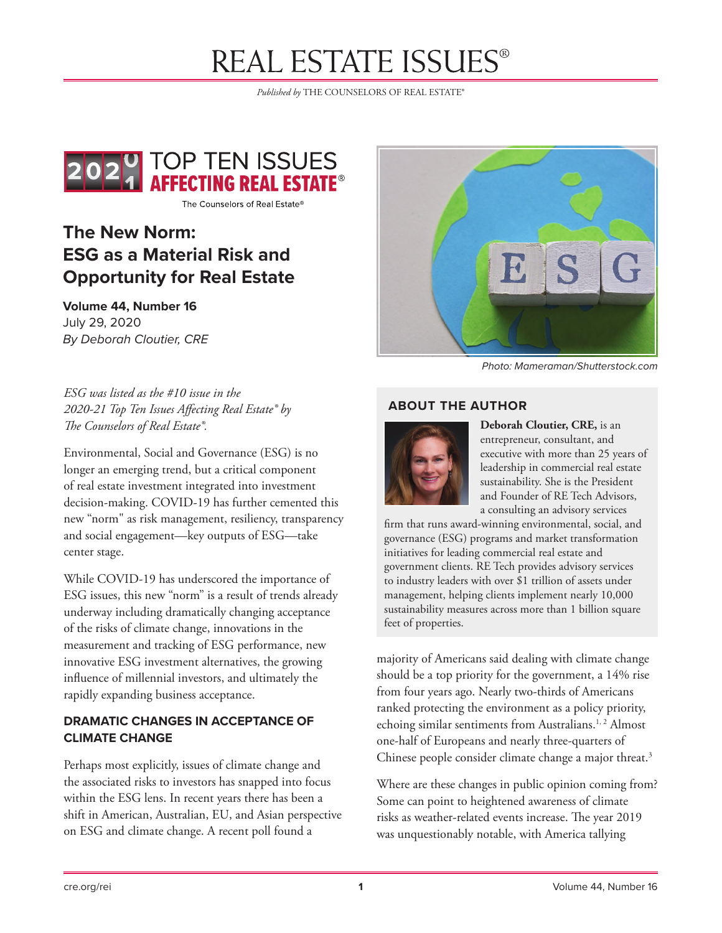# **REAL ESTATE ISSUES®**

*Published by* THE COUNSELORS OF REAL ESTATE®



The Counselors of Real Estate®

# **The New Norm: ESG as a Material Risk and Opportunity for Real Estate**

**Volume 44, Number 16** July 29, 2020 *By Deborah Cloutier, CRE*



*Photo: Mameraman/Shutterstock.com*

*ESG was listed as the #10 issue in the 2020-21 Top Ten Issues Affecting Real Estate® by The Counselors of Real Estate®.*

Environmental, Social and Governance (ESG) is no longer an emerging trend, but a critical component of real estate investment integrated into investment decision-making. COVID-19 has further cemented this new "norm" as risk management, resiliency, transparency and social engagement—key outputs of ESG—take center stage.

While COVID-19 has underscored the importance of ESG issues, this new "norm" is a result of trends already underway including dramatically changing acceptance of the risks of climate change, innovations in the measurement and tracking of ESG performance, new innovative ESG investment alternatives, the growing influence of millennial investors, and ultimately the rapidly expanding business acceptance.

### **DRAMATIC CHANGES IN ACCEPTANCE OF CLIMATE CHANGE**

Perhaps most explicitly, issues of climate change and the associated risks to investors has snapped into focus within the ESG lens. In recent years there has been a shift in American, Australian, EU, and Asian perspective on ESG and climate change. A recent poll found a

#### **ABOUT THE AUTHOR**



**Deborah Cloutier, CRE,** is an entrepreneur, consultant, and executive with more than 25 years of leadership in commercial real estate sustainability. She is the President and Founder of RE Tech Advisors, a consulting an advisory services

firm that runs award-winning environmental, social, and governance (ESG) programs and market transformation initiatives for leading commercial real estate and government clients. RE Tech provides advisory services to industry leaders with over \$1 trillion of assets under management, helping clients implement nearly 10,000 sustainability measures across more than 1 billion square feet of properties.

majority of Americans said dealing with climate change should be a top priority for the government, a 14% rise from four years ago. Nearly two-thirds of Americans ranked protecting the environment as a policy priority, echoing similar sentiments from Australians.<sup>1, 2</sup> Almost one-half of Europeans and nearly three-quarters of Chinese people consider climate change a major threat.<sup>3</sup>

Where are these changes in public opinion coming from? Some can point to heightened awareness of climate risks as weather-related events increase. The year 2019 was unquestionably notable, with America tallying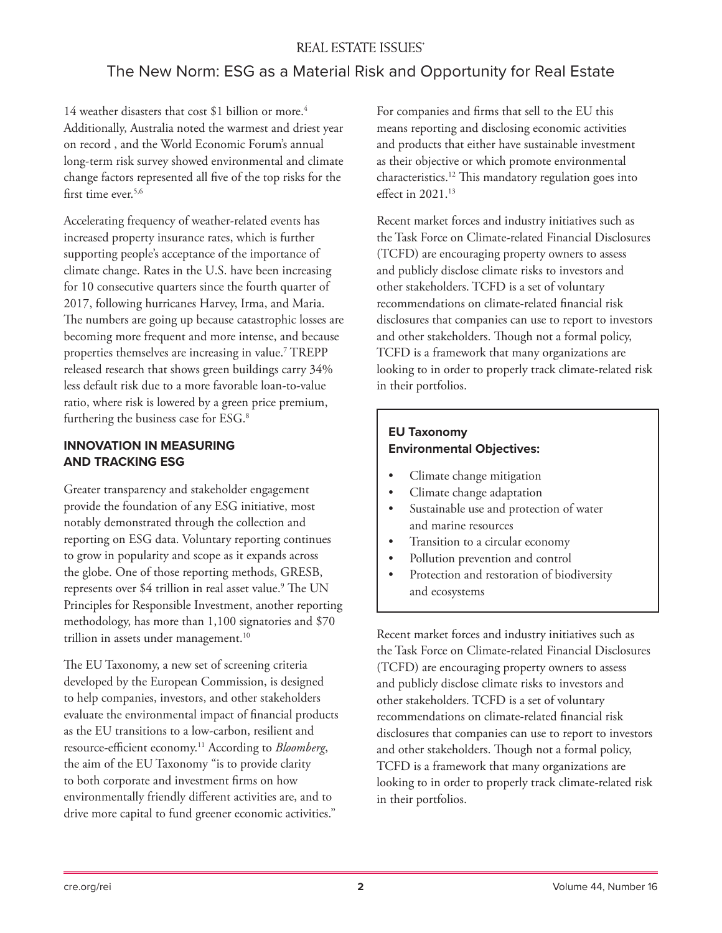### **REAL ESTATE ISSUES®**

## The New Norm: ESG as a Material Risk and Opportunity for Real Estate

14 weather disasters that cost \$1 billion or more.<sup>4</sup> Additionally, Australia noted the warmest and driest year on record , and the World Economic Forum's annual long-term risk survey showed environmental and climate change factors represented all five of the top risks for the first time ever.<sup>5,6</sup>

Accelerating frequency of weather-related events has increased property insurance rates, which is further supporting people's acceptance of the importance of climate change. Rates in the U.S. have been increasing for 10 consecutive quarters since the fourth quarter of 2017, following hurricanes Harvey, Irma, and Maria. The numbers are going up because catastrophic losses are becoming more frequent and more intense, and because properties themselves are increasing in value.7 TREPP released research that shows green buildings carry 34% less default risk due to a more favorable loan-to-value ratio, where risk is lowered by a green price premium, furthering the business case for ESG.<sup>8</sup>

#### **INNOVATION IN MEASURING AND TRACKING ESG**

Greater transparency and stakeholder engagement provide the foundation of any ESG initiative, most notably demonstrated through the collection and reporting on ESG data. Voluntary reporting continues to grow in popularity and scope as it expands across the globe. One of those reporting methods, GRESB, represents over \$4 trillion in real asset value.<sup>9</sup> The UN Principles for Responsible Investment, another reporting methodology, has more than 1,100 signatories and \$70 trillion in assets under management.<sup>10</sup>

The EU Taxonomy, a new set of screening criteria developed by the European Commission, is designed to help companies, investors, and other stakeholders evaluate the environmental impact of financial products as the EU transitions to a low-carbon, resilient and resource-efficient economy.11 According to *Bloomberg*, the aim of the EU Taxonomy "is to provide clarity to both corporate and investment firms on how environmentally friendly different activities are, and to drive more capital to fund greener economic activities."

For companies and firms that sell to the EU this means reporting and disclosing economic activities and products that either have sustainable investment as their objective or which promote environmental characteristics.12 This mandatory regulation goes into effect in 2021.<sup>13</sup>

Recent market forces and industry initiatives such as the Task Force on Climate-related Financial Disclosures (TCFD) are encouraging property owners to assess and publicly disclose climate risks to investors and other stakeholders. TCFD is a set of voluntary recommendations on climate-related financial risk disclosures that companies can use to report to investors and other stakeholders. Though not a formal policy, TCFD is a framework that many organizations are looking to in order to properly track climate-related risk in their portfolios.

#### **EU Taxonomy Environmental Objectives:**

- Climate change mitigation
- Climate change adaptation
- Sustainable use and protection of water and marine resources
- Transition to a circular economy
- Pollution prevention and control
- Protection and restoration of biodiversity and ecosystems

Recent market forces and industry initiatives such as the Task Force on Climate-related Financial Disclosures (TCFD) are encouraging property owners to assess and publicly disclose climate risks to investors and other stakeholders. TCFD is a set of voluntary recommendations on climate-related financial risk disclosures that companies can use to report to investors and other stakeholders. Though not a formal policy, TCFD is a framework that many organizations are looking to in order to properly track climate-related risk in their portfolios.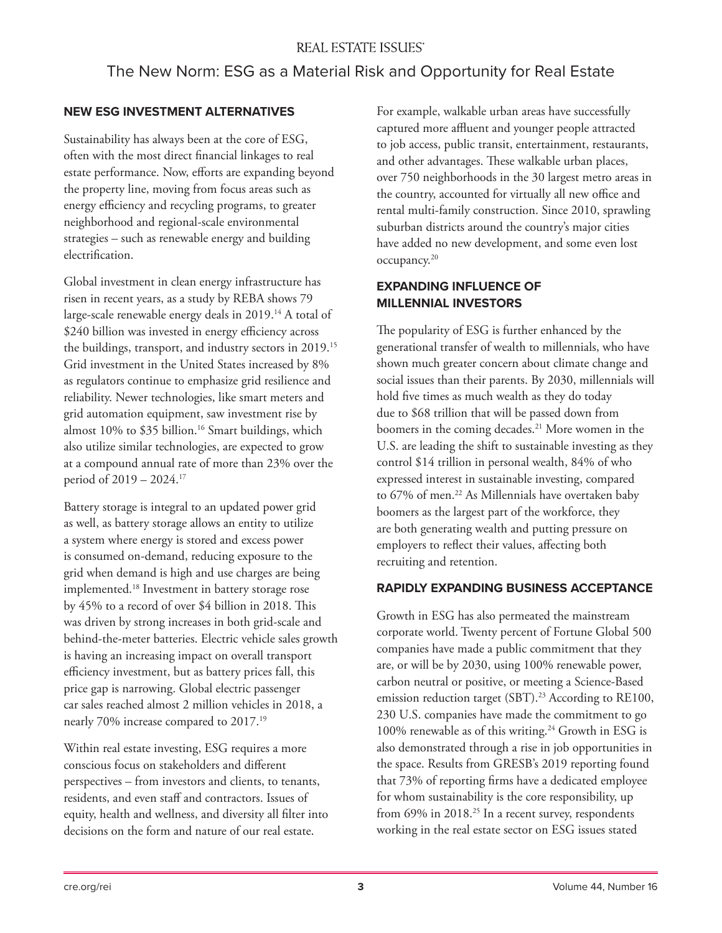## The New Norm: ESG as a Material Risk and Opportunity for Real Estate

#### **NEW ESG INVESTMENT ALTERNATIVES**

Sustainability has always been at the core of ESG, often with the most direct financial linkages to real estate performance. Now, efforts are expanding beyond the property line, moving from focus areas such as energy efficiency and recycling programs, to greater neighborhood and regional-scale environmental strategies – such as renewable energy and building electrification.

Global investment in clean energy infrastructure has risen in recent years, as a study by REBA shows 79 large-scale renewable energy deals in 2019.<sup>14</sup> A total of \$240 billion was invested in energy efficiency across the buildings, transport, and industry sectors in 2019.15 Grid investment in the United States increased by 8% as regulators continue to emphasize grid resilience and reliability. Newer technologies, like smart meters and grid automation equipment, saw investment rise by almost 10% to \$35 billion.<sup>16</sup> Smart buildings, which also utilize similar technologies, are expected to grow at a compound annual rate of more than 23% over the period of 2019 – 2024.17

Battery storage is integral to an updated power grid as well, as battery storage allows an entity to utilize a system where energy is stored and excess power is consumed on-demand, reducing exposure to the grid when demand is high and use charges are being implemented.18 Investment in battery storage rose by 45% to a record of over \$4 billion in 2018. This was driven by strong increases in both grid-scale and behind-the-meter batteries. Electric vehicle sales growth is having an increasing impact on overall transport efficiency investment, but as battery prices fall, this price gap is narrowing. Global electric passenger car sales reached almost 2 million vehicles in 2018, a nearly 70% increase compared to 2017.19

Within real estate investing, ESG requires a more conscious focus on stakeholders and different perspectives – from investors and clients, to tenants, residents, and even staff and contractors. Issues of equity, health and wellness, and diversity all filter into decisions on the form and nature of our real estate.

For example, walkable urban areas have successfully captured more affluent and younger people attracted to job access, public transit, entertainment, restaurants, and other advantages. These walkable urban places, over 750 neighborhoods in the 30 largest metro areas in the country, accounted for virtually all new office and rental multi-family construction. Since 2010, sprawling suburban districts around the country's major cities have added no new development, and some even lost occupancy.20

#### **EXPANDING INFLUENCE OF MILLENNIAL INVESTORS**

The popularity of ESG is further enhanced by the generational transfer of wealth to millennials, who have shown much greater concern about climate change and social issues than their parents. By 2030, millennials will hold five times as much wealth as they do today due to \$68 trillion that will be passed down from boomers in the coming decades.<sup>21</sup> More women in the U.S. are leading the shift to sustainable investing as they control \$14 trillion in personal wealth, 84% of who expressed interest in sustainable investing, compared to 67% of men.<sup>22</sup> As Millennials have overtaken baby boomers as the largest part of the workforce, they are both generating wealth and putting pressure on employers to reflect their values, affecting both recruiting and retention.

#### **RAPIDLY EXPANDING BUSINESS ACCEPTANCE**

Growth in ESG has also permeated the mainstream corporate world. Twenty percent of Fortune Global 500 companies have made a public commitment that they are, or will be by 2030, using 100% renewable power, carbon neutral or positive, or meeting a Science-Based emission reduction target (SBT).<sup>23</sup> According to RE100, 230 U.S. companies have made the commitment to go 100% renewable as of this writing.<sup>24</sup> Growth in ESG is also demonstrated through a rise in job opportunities in the space. Results from GRESB's 2019 reporting found that 73% of reporting firms have a dedicated employee for whom sustainability is the core responsibility, up from  $69\%$  in  $2018.<sup>25</sup>$  In a recent survey, respondents working in the real estate sector on ESG issues stated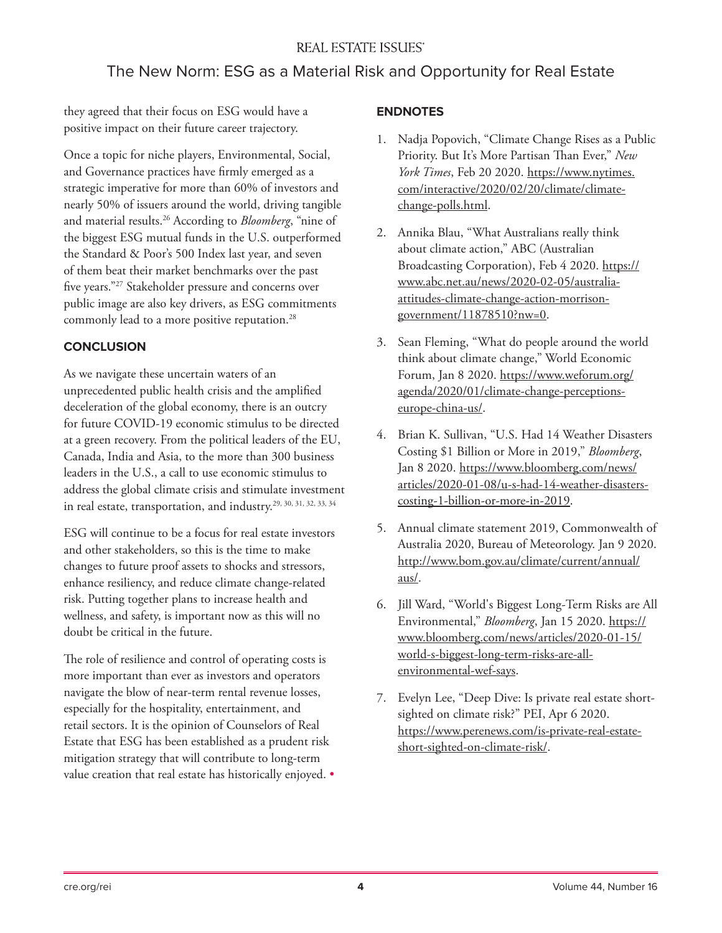## The New Norm: ESG as a Material Risk and Opportunity for Real Estate

they agreed that their focus on ESG would have a positive impact on their future career trajectory.

Once a topic for niche players, Environmental, Social, and Governance practices have firmly emerged as a strategic imperative for more than 60% of investors and nearly 50% of issuers around the world, driving tangible and material results.26 According to *Bloomberg*, "nine of the biggest ESG mutual funds in the U.S. outperformed the Standard & Poor's 500 Index last year, and seven of them beat their market benchmarks over the past five years."27 Stakeholder pressure and concerns over public image are also key drivers, as ESG commitments commonly lead to a more positive reputation.<sup>28</sup>

## **CONCLUSION**

As we navigate these uncertain waters of an unprecedented public health crisis and the amplified deceleration of the global economy, there is an outcry for future COVID-19 economic stimulus to be directed at a green recovery. From the political leaders of the EU, Canada, India and Asia, to the more than 300 business leaders in the U.S., a call to use economic stimulus to address the global climate crisis and stimulate investment in real estate, transportation, and industry.29, 30, 31, 32, 33, 34

ESG will continue to be a focus for real estate investors and other stakeholders, so this is the time to make changes to future proof assets to shocks and stressors, enhance resiliency, and reduce climate change-related risk. Putting together plans to increase health and wellness, and safety, is important now as this will no doubt be critical in the future.

The role of resilience and control of operating costs is more important than ever as investors and operators navigate the blow of near-term rental revenue losses, especially for the hospitality, entertainment, and retail sectors. It is the opinion of Counselors of Real Estate that ESG has been established as a prudent risk mitigation strategy that will contribute to long-term value creation that real estate has historically enjoyed. •

#### **ENDNOTES**

- 1. Nadja Popovich, "Climate Change Rises as a Public Priority. But It's More Partisan Than Ever," *New York Times*, Feb 20 2020. https://www.nytimes. com/interactive/2020/02/20/climate/climatechange-polls.html.
- 2. Annika Blau, "What Australians really think about climate action," ABC (Australian Broadcasting Corporation), Feb 4 2020. https:// www.abc.net.au/news/2020-02-05/australiaattitudes-climate-change-action-morrisongovernment/11878510?nw=0.
- 3. Sean Fleming, "What do people around the world think about climate change," World Economic Forum, Jan 8 2020. https://www.weforum.org/ agenda/2020/01/climate-change-perceptionseurope-china-us/.
- 4. Brian K. Sullivan, "U.S. Had 14 Weather Disasters Costing \$1 Billion or More in 2019," *Bloomberg*, Jan 8 2020. https://www.bloomberg.com/news/ articles/2020-01-08/u-s-had-14-weather-disasterscosting-1-billion-or-more-in-2019.
- 5. Annual climate statement 2019, Commonwealth of Australia 2020, Bureau of Meteorology. Jan 9 2020. http://www.bom.gov.au/climate/current/annual/ aus/.
- 6. Jill Ward, "World's Biggest Long-Term Risks are All Environmental," *Bloomberg*, Jan 15 2020. https:// www.bloomberg.com/news/articles/2020-01-15/ world-s-biggest-long-term-risks-are-allenvironmental-wef-says.
- 7. Evelyn Lee, "Deep Dive: Is private real estate shortsighted on climate risk?" PEI, Apr 6 2020. https://www.perenews.com/is-private-real-estateshort-sighted-on-climate-risk/.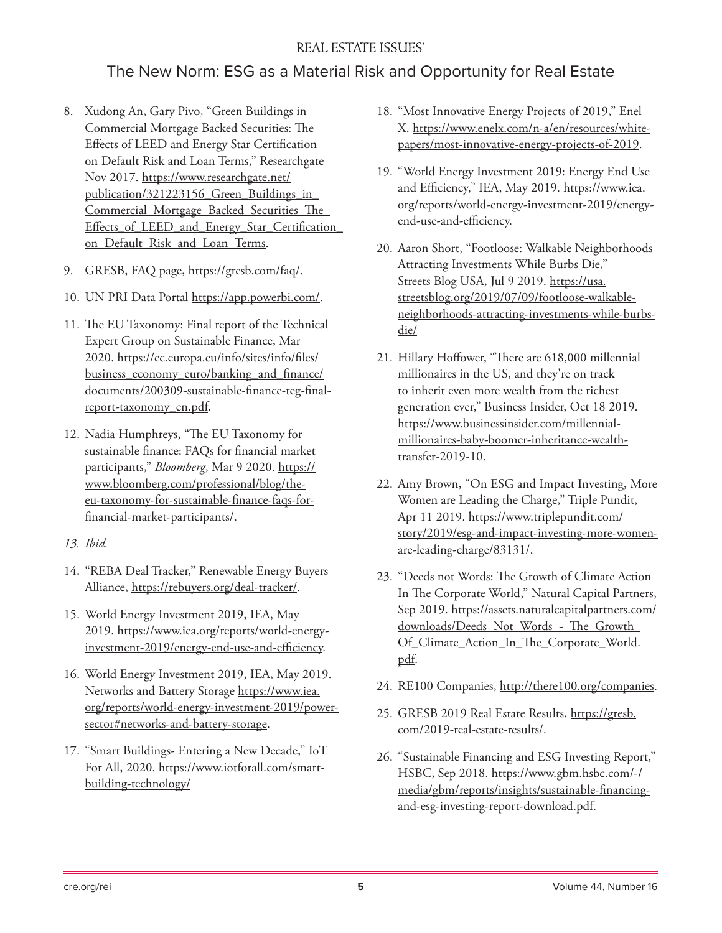#### **REAL ESTATE ISSUES**

## The New Norm: ESG as a Material Risk and Opportunity for Real Estate

- 8. Xudong An, Gary Pivo, "Green Buildings in Commercial Mortgage Backed Securities: The Effects of LEED and Energy Star Certification on Default Risk and Loan Terms," Researchgate Nov 2017. https://www.researchgate.net/ publication/321223156\_Green\_Buildings\_in\_ Commercial Mortgage Backed Securities The Effects of LEED and Energy Star Certification on Default Risk and Loan Terms.
- 9. GRESB, FAQ page, https://gresb.com/faq/.
- 10. UN PRI Data Portal https://app.powerbi.com/.
- 11. The EU Taxonomy: Final report of the Technical Expert Group on Sustainable Finance, Mar 2020. https://ec.europa.eu/info/sites/info/files/ business economy euro/banking and finance/ documents/200309-sustainable-finance-teg-finalreport-taxonomy\_en.pdf.
- 12. Nadia Humphreys, "The EU Taxonomy for sustainable finance: FAQs for financial market participants," *Bloomberg*, Mar 9 2020. https:// www.bloomberg.com/professional/blog/theeu-taxonomy-for-sustainable-finance-faqs-forfinancial-market-participants/.
- *13. Ibid.*
- 14. "REBA Deal Tracker," Renewable Energy Buyers Alliance, https://rebuyers.org/deal-tracker/.
- 15. World Energy Investment 2019, IEA, May 2019. https://www.iea.org/reports/world-energyinvestment-2019/energy-end-use-and-efficiency.
- 16. World Energy Investment 2019, IEA, May 2019. Networks and Battery Storage https://www.iea. org/reports/world-energy-investment-2019/powersector#networks-and-battery-storage.
- 17. "Smart Buildings- Entering a New Decade," IoT For All, 2020. https://www.iotforall.com/smartbuilding-technology/
- 18. "Most Innovative Energy Projects of 2019," Enel X. https://www.enelx.com/n-a/en/resources/whitepapers/most-innovative-energy-projects-of-2019.
- 19. "World Energy Investment 2019: Energy End Use and Efficiency," IEA, May 2019. https://www.iea. org/reports/world-energy-investment-2019/energyend-use-and-efficiency.
- 20. Aaron Short, "Footloose: Walkable Neighborhoods Attracting Investments While Burbs Die," Streets Blog USA, Jul 9 2019. https://usa. streetsblog.org/2019/07/09/footloose-walkableneighborhoods-attracting-investments-while-burbsdie/
- 21. Hillary Hoffower, "There are 618,000 millennial millionaires in the US, and they're on track to inherit even more wealth from the richest generation ever," Business Insider, Oct 18 2019. https://www.businessinsider.com/millennialmillionaires-baby-boomer-inheritance-wealthtransfer-2019-10.
- 22. Amy Brown, "On ESG and Impact Investing, More Women are Leading the Charge," Triple Pundit, Apr 11 2019. https://www.triplepundit.com/ story/2019/esg-and-impact-investing-more-womenare-leading-charge/83131/.
- 23. "Deeds not Words: The Growth of Climate Action In The Corporate World," Natural Capital Partners, Sep 2019. https://assets.naturalcapitalpartners.com/ downloads/Deeds\_Not\_Words\_-\_The\_Growth Of Climate Action In The Corporate World. pdf.
- 24. RE100 Companies, http://there100.org/companies.
- 25. GRESB 2019 Real Estate Results, https://gresb. com/2019-real-estate-results/.
- 26. "Sustainable Financing and ESG Investing Report," HSBC, Sep 2018. https://www.gbm.hsbc.com/-/ media/gbm/reports/insights/sustainable-financingand-esg-investing-report-download.pdf.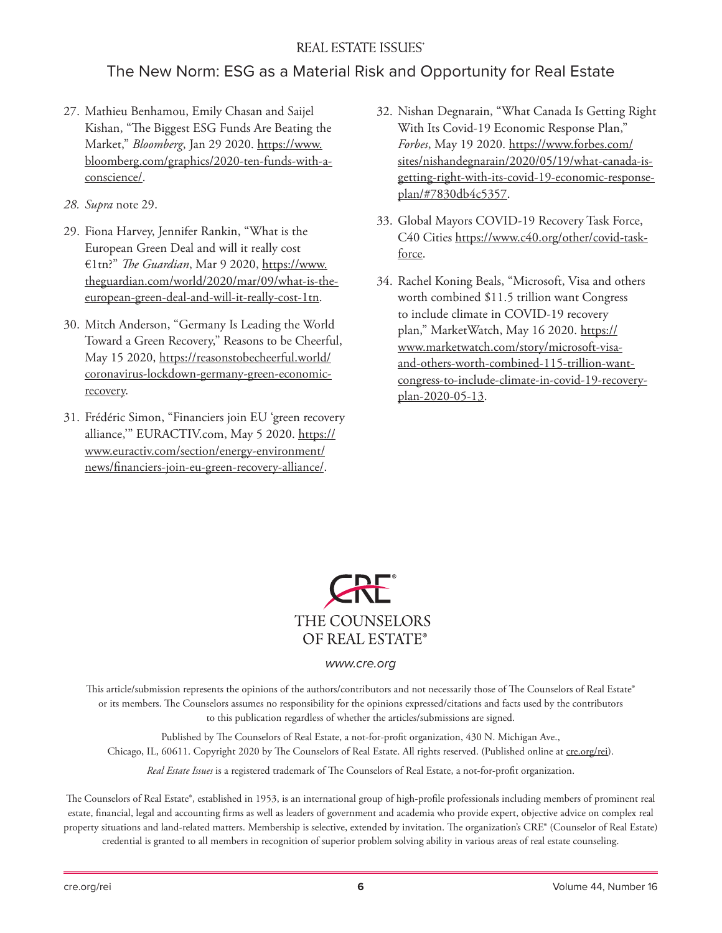#### **REAL ESTATE ISSUES**

## The New Norm: ESG as a Material Risk and Opportunity for Real Estate

- 27. Mathieu Benhamou, Emily Chasan and Saijel Kishan, "The Biggest ESG Funds Are Beating the Market," *Bloomberg*, Jan 29 2020. https://www. bloomberg.com/graphics/2020-ten-funds-with-aconscience/.
- *28. Supra* note 29.
- 29. Fiona Harvey, Jennifer Rankin, "What is the European Green Deal and will it really cost €1tn?" *The Guardian*, Mar 9 2020, https://www. theguardian.com/world/2020/mar/09/what-is-theeuropean-green-deal-and-will-it-really-cost-1tn.
- 30. Mitch Anderson, "Germany Is Leading the World Toward a Green Recovery," Reasons to be Cheerful, May 15 2020, https://reasonstobecheerful.world/ coronavirus-lockdown-germany-green-economicrecovery.
- 31. Frédéric Simon, "Financiers join EU 'green recovery alliance,'" EURACTIV.com, May 5 2020. https:// www.euractiv.com/section/energy-environment/ news/financiers-join-eu-green-recovery-alliance/.
- 32. Nishan Degnarain, "What Canada Is Getting Right With Its Covid-19 Economic Response Plan," *Forbes*, May 19 2020. https://www.forbes.com/ sites/nishandegnarain/2020/05/19/what-canada-isgetting-right-with-its-covid-19-economic-responseplan/#7830db4c5357.
- 33. Global Mayors COVID-19 Recovery Task Force, C40 Cities https://www.c40.org/other/covid-taskforce.
- 34. Rachel Koning Beals, "Microsoft, Visa and others worth combined \$11.5 trillion want Congress to include climate in COVID-19 recovery plan," MarketWatch, May 16 2020. https:// www.marketwatch.com/story/microsoft-visaand-others-worth-combined-115-trillion-wantcongress-to-include-climate-in-covid-19-recoveryplan-2020-05-13.



#### *www.cre.org*

This article/submission represents the opinions of the authors/contributors and not necessarily those of The Counselors of Real Estate® or its members. The Counselors assumes no responsibility for the opinions expressed/citations and facts used by the contributors to this publication regardless of whether the articles/submissions are signed.

Published by The Counselors of Real Estate, a not-for-profit organization, 430 N. Michigan Ave., Chicago, IL, 60611. Copyright 2020 by The Counselors of Real Estate. All rights reserved. (Published online at cre.org/rei).

*Real Estate Issues* is a registered trademark of The Counselors of Real Estate, a not-for-profit organization.

The Counselors of Real Estate®, established in 1953, is an international group of high-profile professionals including members of prominent real estate, financial, legal and accounting firms as well as leaders of government and academia who provide expert, objective advice on complex real property situations and land-related matters. Membership is selective, extended by invitation. The organization's CRE® (Counselor of Real Estate) credential is granted to all members in recognition of superior problem solving ability in various areas of real estate counseling.